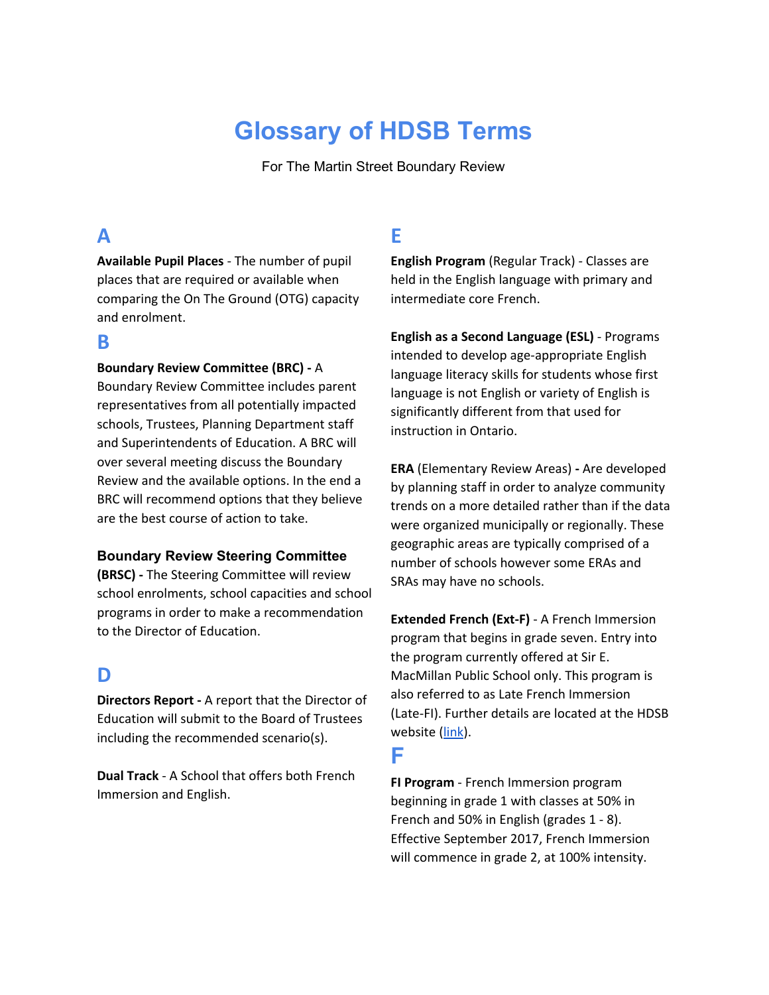# **Glossary of HDSB Terms**

For The Martin Street Boundary Review

# **A**

**Available Pupil Places** - The number of pupil places that are required or available when comparing the On The Ground (OTG) capacity and enrolment.

### **B**

#### **Boundary Review Committee (BRC) -** A

Boundary Review Committee includes parent representatives from all potentially impacted schools, Trustees, Planning Department staff and Superintendents of Education. A BRC will over several meeting discuss the Boundary Review and the available options. In the end a BRC will recommend options that they believe are the best course of action to take.

#### **Boundary Review Steering Committee**

**(BRSC) -** The Steering Committee will review school enrolments, school capacities and school programs in order to make a recommendation to the Director of Education.

### **D**

**Directors Report -** A report that the Director of Education will submit to the Board of Trustees including the recommended scenario(s).

**Dual Track** - A School that offers both French Immersion and English.

# **E**

**English Program** (Regular Track) - Classes are held in the English language with primary and intermediate core French.

**English as a Second Language (ESL)** - Programs intended to develop age-appropriate English language literacy skills for students whose first language is not English or variety of English is significantly different from that used for instruction in Ontario.

**ERA** (Elementary Review Areas) **-** Are developed by planning staff in order to analyze community trends on a more detailed rather than if the data were organized municipally or regionally. These geographic areas are typically comprised of a number of schools however some ERAs and SRAs may have no schools.

**Extended French (Ext-F)** - A French Immersion program that begins in grade seven. Entry into the program currently offered at Sir E. MacMillan Public School only. This program is also referred to as Late French Immersion (Late-FI). Further details are located at the HDSB website [\(link\)](https://www.hdsb.ca/learning-and-resources/Pages/French/Extended.aspx).

### **F**

**FI Program** - French Immersion program beginning in grade 1 with classes at 50% in French and 50% in English (grades 1 - 8). Effective September 2017, French Immersion will commence in grade 2, at 100% intensity.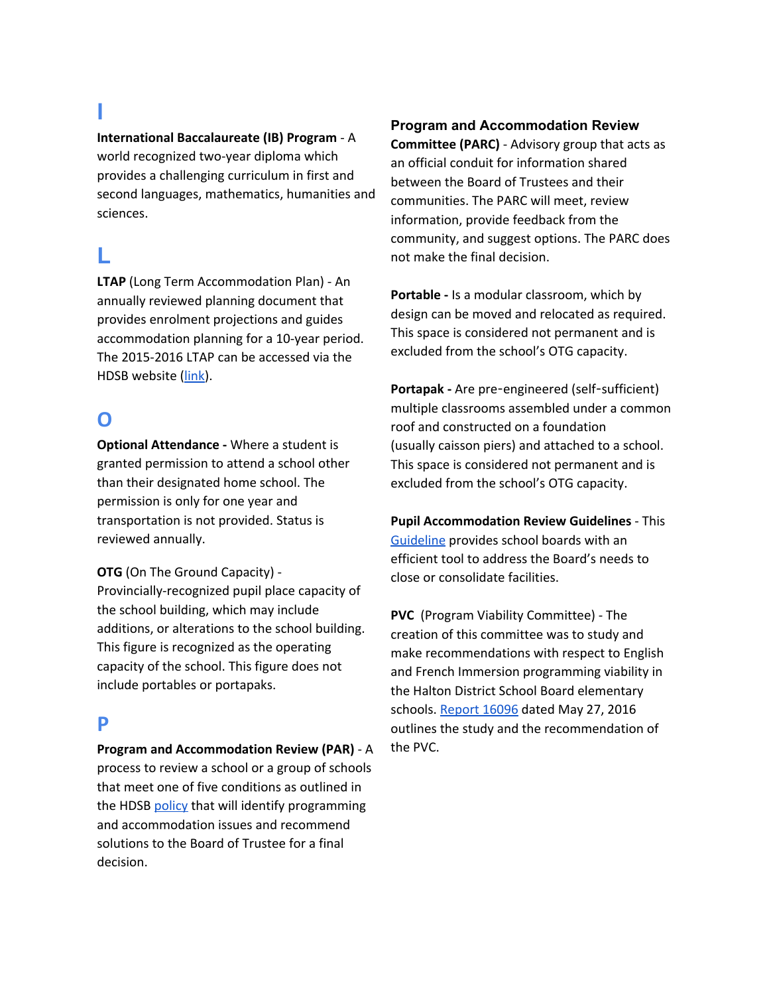# **I**

# **International Baccalaureate (IB) Program** - A

world recognized two-year diploma which provides a challenging curriculum in first and second languages, mathematics, humanities and sciences.

# **L**

**LTAP** (Long Term Accommodation Plan) - An annually reviewed planning document that provides enrolment projections and guides accommodation planning for a 10-year period. The 2015-2016 LTAP can be accessed via the HDSB website [\(link\)](https://www.hdsb.ca/our-board/Pages/Publications/Long%20Term-Accommodation-Plan.aspx).

# **O**

**Optional Attendance -** Where a student is granted permission to attend a school other than their designated home school. The permission is only for one year and transportation is not provided. Status is reviewed annually.

**OTG** (On The Ground Capacity) - Provincially-recognized pupil place capacity of the school building, which may include additions, or alterations to the school building. This figure is recognized as the operating capacity of the school. This figure does not include portables or portapaks.

## **P**

# **Program and Accommodation Review (PAR)** - A process to review a school or a group of schools that meet one of five conditions as outlined in

the HDSB [policy](https://www.hdsb.ca/our-board/Planning/PAR/ProgramAccomReview.pdf) that will identify programming and accommodation issues and recommend solutions to the Board of Trustee for a final decision.

### **Program and Accommodation Review**

**Committee (PARC)** - Advisory group that acts as an official conduit for information shared between the Board of Trustees and their communities. The PARC will meet, review information, provide feedback from the community, and suggest options. The PARC does not make the final decision.

**Portable -** Is a modular classroom, which by design can be moved and relocated as required. This space is considered not permanent and is excluded from the school's OTG capacity.

**Portapak -** Are pre-engineered (self-sufficient) multiple classrooms assembled under a common roof and constructed on a foundation (usually caisson piers) and attached to a school. This space is considered not permanent and is excluded from the school's OTG capacity.

**Pupil Accommodation Review Guidelines** - This [Guideline](https://edu.gov.on.ca/eng/funding/1516/2015B9appenAEN.pdf) provides school boards with an efficient tool to address the Board's needs to close or consolidate facilities.

**PVC**  (Program Viability Committee) - The creation of this committee was to study and make recommendations with respect to English and French Immersion programming viability in the Halton District School Board elementary schools. [Report 16096](https://www.hdsb.ca/schools/Documents/16096-complete.pdf#search=Report%2016096) dated May 27, 2016 outlines the study and the recommendation of the PVC.